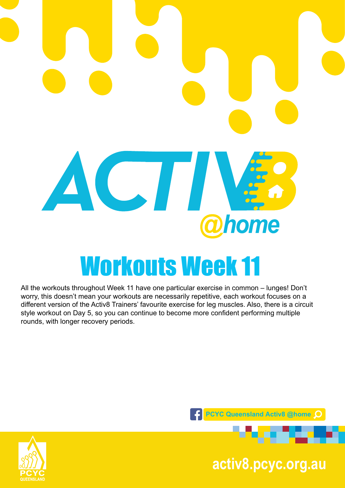# ACTI **@home** Workouts Week 11

All the workouts throughout Week 11 have one particular exercise in common – lunges! Don't worry, this doesn't mean your workouts are necessarily repetitive, each workout focuses on a different version of the Activ8 Trainers' favourite exercise for leg muscles. Also, there is a circuit style workout on Day 5, so you can continue to become more confident performing multiple rounds, with longer recovery periods.





**pcyc.org.au activ8.pcyc.org.au**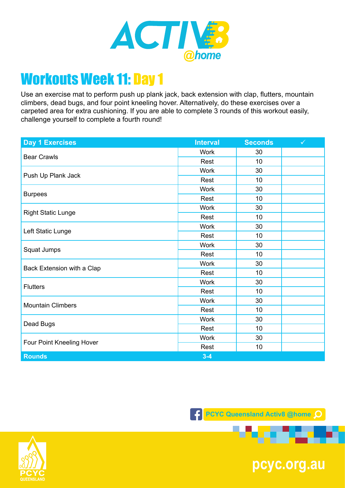

Use an exercise mat to perform push up plank jack, back extension with clap, flutters, mountain climbers, dead bugs, and four point kneeling hover. Alternatively, do these exercises over a carpeted area for extra cushioning. If you are able to complete 3 rounds of this workout easily, challenge yourself to complete a fourth round!

| <b>Day 1 Exercises</b>     | <b>Interval</b> | <b>Seconds</b> | $\checkmark$ |
|----------------------------|-----------------|----------------|--------------|
| <b>Bear Crawls</b>         | <b>Work</b>     | 30             |              |
|                            | Rest            | 10             |              |
| Push Up Plank Jack         | <b>Work</b>     | 30             |              |
|                            | Rest            | 10             |              |
| <b>Burpees</b>             | <b>Work</b>     | 30             |              |
|                            | Rest            | 10             |              |
| <b>Right Static Lunge</b>  | <b>Work</b>     | 30             |              |
|                            | Rest            | 10             |              |
|                            | <b>Work</b>     | 30             |              |
| Left Static Lunge          | Rest            | 10             |              |
|                            | <b>Work</b>     | 30             |              |
| Squat Jumps                | Rest            | 10             |              |
| Back Extension with a Clap | <b>Work</b>     | 30             |              |
|                            | Rest            | 10             |              |
| <b>Flutters</b>            | <b>Work</b>     | 30             |              |
|                            | Rest            | 10             |              |
| <b>Mountain Climbers</b>   | <b>Work</b>     | 30             |              |
|                            | Rest            | 10             |              |
| Dead Bugs                  | <b>Work</b>     | 30             |              |
|                            | Rest            | 10             |              |
| Four Point Kneeling Hover  | <b>Work</b>     | 30             |              |
|                            | Rest            | 10             |              |
| <b>Rounds</b>              | $3 - 4$         |                |              |



an an a



**pcyc.org.au**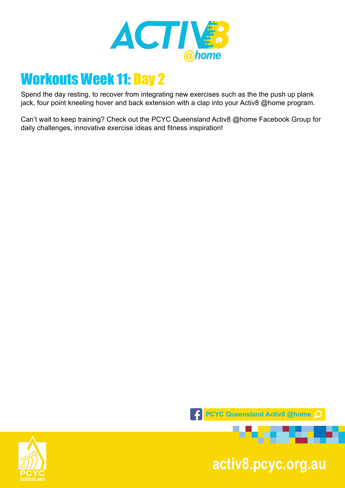

Spend the day resting, to recover from integrating new exercises such as the the push up plank jack, four point kneeling hover and back extension with a clap into your Activ8 @home program.

Can't wait to keep training? Check out the PCYC Queensland Activ8 @home Facebook Group for daily challenges, innovative exercise ideas and fitness inspiration!



**pcyc.org.au activ8.pcyc.org.au**

. . .

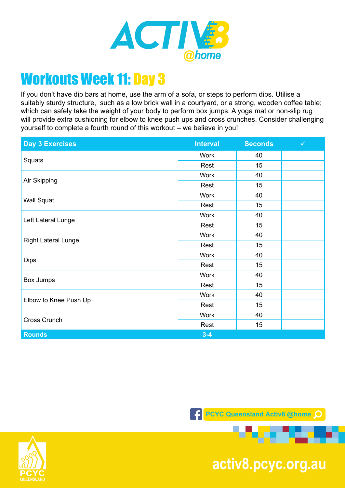

If you don't have dip bars at home, use the arm of a sofa, or steps to perform dips. Utilise a suitably sturdy structure, such as a low brick wall in a courtyard, or a strong, wooden coffee table; which can safely take the weight of your body to perform box jumps. A yoga mat or non-slip rug will provide extra cushioning for elbow to knee push ups and cross crunches. Consider challenging yourself to complete a fourth round of this workout – we believe in you!

| <b>Day 3 Exercises</b>     | <b>Interval</b> | <b>Seconds</b> | $\checkmark$ |
|----------------------------|-----------------|----------------|--------------|
| Squats                     | <b>Work</b>     | 40             |              |
|                            | Rest            | 15             |              |
| Air Skipping               | <b>Work</b>     | 40             |              |
|                            | Rest            | 15             |              |
| <b>Wall Squat</b>          | <b>Work</b>     | 40             |              |
|                            | Rest            | 15             |              |
| Left Lateral Lunge         | <b>Work</b>     | 40             |              |
|                            | Rest            | 15             |              |
|                            | <b>Work</b>     | 40             |              |
| <b>Right Lateral Lunge</b> | Rest            | 15             |              |
| <b>Dips</b>                | <b>Work</b>     | 40             |              |
|                            | Rest            | 15             |              |
| Box Jumps                  | <b>Work</b>     | 40             |              |
|                            | Rest            | 15             |              |
| Elbow to Knee Push Up      | <b>Work</b>     | 40             |              |
|                            | Rest            | 15             |              |
| Cross Crunch               | <b>Work</b>     | 40             |              |
|                            | Rest            | 15             |              |
| <b>Rounds</b>              | $3 - 4$         |                |              |

**FCYC Queensland Activ8 @home O** 



**pcyc.org.au activ8.pcyc.org.au**

. .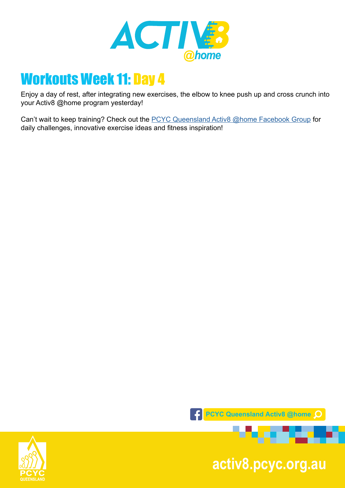

Enjoy a day of rest, after integrating new exercises, the elbow to knee push up and cross crunch into your Activ8 @home program yesterday!

Can't wait to keep training? Check out the [PCYC Queensland Activ8 @home Facebook Group](https://www.facebook.com/groups/2652320985090996/) for daily challenges, innovative exercise ideas and fitness inspiration!



**pcyc.org.au activ8.pcyc.org.au**

. . .

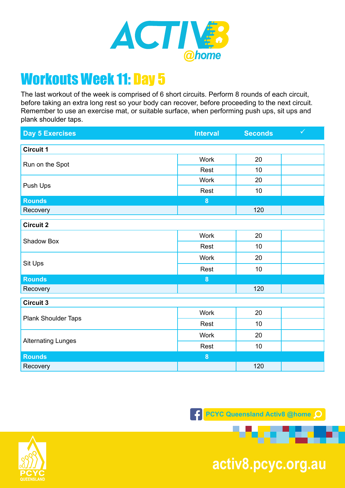

The last workout of the week is comprised of 6 short circuits. Perform 8 rounds of each circuit, before taking an extra long rest so your body can recover, before proceeding to the next circuit. Remember to use an exercise mat, or suitable surface, when performing push ups, sit ups and plank shoulder taps.

| <b>Day 5 Exercises</b>    | <b>Interval</b>  | <b>Seconds</b> | $\checkmark$ |
|---------------------------|------------------|----------------|--------------|
| <b>Circuit 1</b>          |                  |                |              |
| Run on the Spot           | <b>Work</b>      | 20             |              |
|                           | Rest             | 10             |              |
|                           | <b>Work</b>      | 20             |              |
| Push Ups                  | Rest             | 10             |              |
| <b>Rounds</b>             | $\bf{8}$         |                |              |
| Recovery                  |                  | 120            |              |
| <b>Circuit 2</b>          |                  |                |              |
|                           | Work             | 20             |              |
| Shadow Box                | Rest             | 10             |              |
|                           | <b>Work</b>      | 20             |              |
| Sit Ups                   | Rest             | 10             |              |
| <b>Rounds</b>             | 8                |                |              |
| Recovery                  |                  | 120            |              |
| <b>Circuit 3</b>          |                  |                |              |
| Plank Shoulder Taps       | <b>Work</b>      | 20             |              |
|                           | Rest             | 10             |              |
| <b>Alternating Lunges</b> | Work             | 20             |              |
|                           | Rest             | 10             |              |
| <b>Rounds</b>             | $\boldsymbol{8}$ |                |              |
| Recovery                  |                  | 120            |              |

**F** PCYC Queensland Activ8 @home



**pcyc.org.au activ8.pcyc.org.au**

. .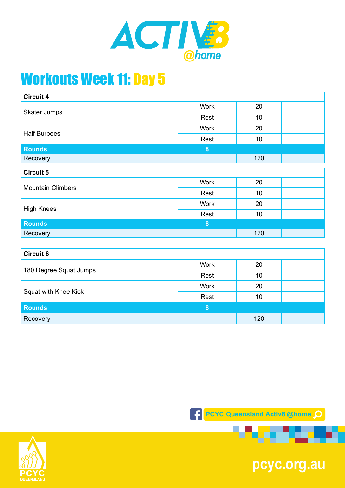

| <b>Circuit 5</b> |  |  |  |
|------------------|--|--|--|
|                  |  |  |  |
|                  |  |  |  |
|                  |  |  |  |
|                  |  |  |  |
|                  |  |  |  |
|                  |  |  |  |
|                  |  |  |  |
|                  |  |  |  |
|                  |  |  |  |

| 180 Degree Squat Jumps | <b>Work</b> | 20  |  |
|------------------------|-------------|-----|--|
|                        | Rest        | 10  |  |
| Squat with Knee Kick   | <b>Work</b> | 20  |  |
|                        | Rest        | 10  |  |
| <b>Rounds</b>          | 8           |     |  |
| Recovery               |             | 120 |  |



and the



**pcyc.org.au**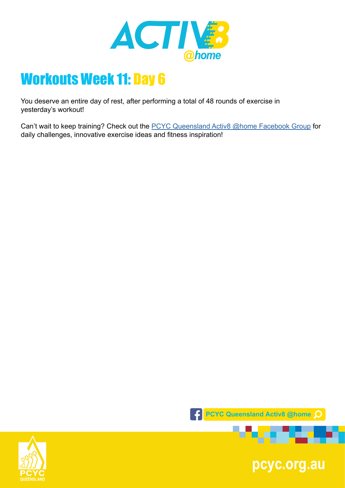

You deserve an entire day of rest, after performing a total of 48 rounds of exercise in yesterday's workout!

Can't wait to keep training? Check out the **PCYC Queensland Activ8 @home Facebook Group** for daily challenges, innovative exercise ideas and fitness inspiration!